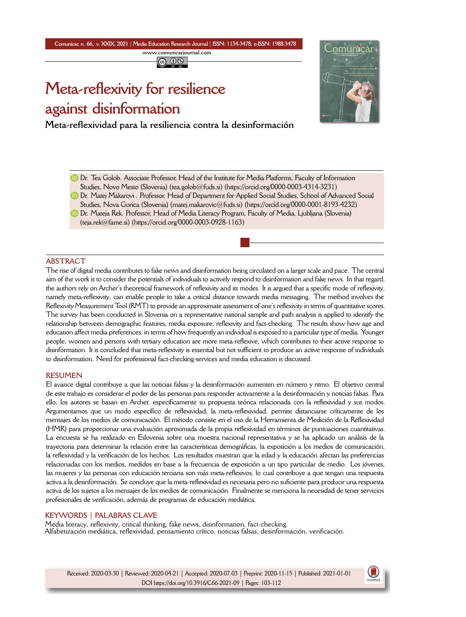## **Comunicar, n. 66, v. XXIX, 2021** *|* **Media Education Research Journal** *|* **ISSN: 1134-3478; e-ISSN: 1988-3478 www.comunicarjournal.com**  $\circledcirc$   $\circledcirc$

# **Meta-reflexivity for resilience against disinformation**

**Meta[-ref](https://orcid.org/0000-0003-4314-3231)lexividad para la resiliencia contra la desinformación**



- **D** [Dr. Tea Golob. A](mailto:teja.rek@fame.si)ss[ociate Professor, Head of the Institute for](https://orcid.org/0000-0003-0928-1163) Media Platforms, Faculty of Information Studies, Novo Mesto (Slovenia) (tea.golob@fuds.si) (https://orcid.org/0000-0003-4314-3231)
- **D** Dr. Matej Makarovi. Professor, Head of Department for Applied Social Studies, School of Advanced Social Studies, Nova Gorica (Slovenia) (matej.makarovic@fuds.si) (https://orcid.org/0000-0001-8193-4232)
- Dr. Mateja Rek. Professor, Head of Media Literacy Program, Faculty of Media, Ljubljana (Slovenia) (teja.rek@fame.si) (https://orcid.org/0000-0003-0928-1163)

#### **ABSTRACT**

The rise of digital media contributes to fake news and disinformation being circulated on a larger scale and pace. The central aim of the work is to consider the potentials of individuals to actively respond to disinformation and fake news. In that regard, the authors rely on Archer's theoretical framework of reflexivity and its modes. It is argued that a specific mode of reflexivity, namely meta-reflexivity, can enable people to take a critical distance towards media messaging. The method involves the Reflexivity Measurement Tool (RMT) to provide an approximate assessment of one's reflexivity in terms of quantitative scores. The survey has been conducted in Slovenia on a representative national sample and path analysis is applied to identify the relationship between demographic features, media exposure, reflexivity and fact-checking. The results show how age and education affect media preferences, in terms of how frequently an individual is exposed to a particular type of media. Younger people, women and persons with tertiary education are more meta-reflexive, which contributes to their active response to disinformation. It is concluded that meta-reflexivity is essential but not sufficient to produce an active response of individuals to disinformation. Need for professional fact-checking-services and media education is discussed.

#### **RESUMEN**

El avance digital contribuye a que las noticias falsas y la desinformación aumenten en número y ritmo. El objetivo central de este trabajo es considerar el poder de las personas para responder activamente a la desinformación y noticias falsas. Para ello, los autores se basan en Archer, específicamente su propuesta teórica relacionada con la reflexividad y sus modos. Argumentamos que un modo específico de reflexividad, la meta-reflexividad, permite distanciarse críticamente de los mensajes de los medios de comunicación. El método consiste en el uso de la Herramienta de Medición de la Reflexividad (HMR) para proporcionar una evaluación aproximada de la propia reflexividad en términos de puntuaciones cuantitativas. La encuesta se ha realizado en Eslovenia sobre una muestra nacional representativa y se ha aplicado un análisis de la trayectoria para determinar la relación entre las características demográficas, la exposición a los medios de comunicación, la reflexividad y la verificación de los hechos. Los resultados muestran que la edad y la educación afectan las preferencias relacionadas con los medios, medidos en base a la frecuencia de exposición a un tipo particular de medio. Los jóvenes, las mujeres y las personas con educación terciaria son más meta-reflexivos, lo cual contribuye a que tengan una respuesta activa a la desinformación. Se concluye que la meta-reflexividad es necesaria pero no suficiente para producir una respuesta activa de los sujetos a los mensajes de los medios de comunicación. Finalmente se menciona la necesidad de tener servicios profesionales de verificación, además de programas de educación mediática.

#### **KEYWORDS | PALABRAS CLAVE**

Media literacy, reflexivity, critical thinking, fake news, disinformation, fact-checking. Alfabetización mediática, reflexividad, pensamiento crítico, noticias falsas, desinformación, verificación.

Received: 2020-03-30 | Reviewed: 2020-04-21 | Accepted: 2020-07-03 | Preprint: 2020-11-15 | Published: 2021-01-01 DOI https://doi.org/10.3916/C66-2021-09 | Pages: 103-112

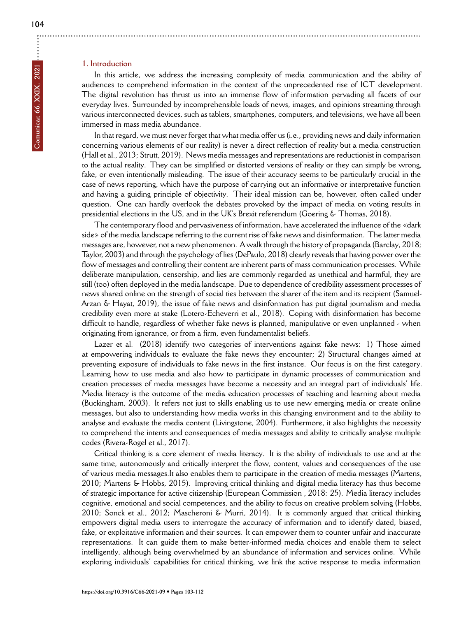In this article, we address the increasing complexity of media communication and the ability of audiences to comprehend information in the context of the unprecedented rise of ICT development. The digital revolution has thrust us into an immense flow of information pervading all facets of our everyday lives. Surrounded by incomprehensible loads of news, images, and opinions streaming through various interconnected devices, such as tablets, smartphones, computers, and televisions, we have all been immersed in mass media abundance.

In that regard, we must never forget that what media offer us (i.e., providing news and daily information concerning various elements of our reality) is never a direct reflection of reality but a media construction (Hall et al., 2013; Strutt, 2019). News media messages and representations are reductionist in comparison to the actual reality. They can be simplified or distorted versions of reality or they can simply be wrong, fake, or even intentionally misleading. The issue of their accuracy seems to be particularly crucial in the case of news reporting, which have the purpose of carrying out an informative or interpretative function and having a guiding principle of objectivity. Their ideal mission can be, however, often called under question. One can hardly overlook the debates provoked by the impact of media on voting results in presidential elections in the US, and in the UK's Brexit referendum (Goering & Thomas, 2018).

The contemporary flood and pervasiveness of information, have accelerated the influence of the «dark side» of the media landscape referring to the current rise of fake news and disinformation. The latter media messages are, however, not a new phenomenon. A walk through the history of propaganda (Barclay, 2018; Taylor, 2003) and through the psychology of lies (DePaulo, 2018) clearly reveals that having power over the flow of messages and controlling their content are inherent parts of mass communication processes. While deliberate manipulation, censorship, and lies are commonly regarded as unethical and harmful, they are still (too) often deployed in the media landscape. Due to dependence of credibility assessment processes of news shared online on the strength of social ties between the sharer of the item and its recipient (Samuel-Arzan & Hayat, 2019), the issue of fake news and disinformation has put digital journalism and media credibility even more at stake (Lotero-Echeverri et al., 2018). Coping with disinformation has become difficult to handle, regardless of whether fake news is planned, manipulative or even unplanned - when originating from ignorance, or from a firm, even fundamentalist beliefs.

Lazer et al. (2018) identify two categories of interventions against fake news: 1) Those aimed at empowering individuals to evaluate the fake news they encounter; 2) Structural changes aimed at preventing exposure of individuals to fake news in the first instance. Our focus is on the first category. Learning how to use media and also how to participate in dynamic processes of communication and creation processes of media messages have become a necessity and an integral part of individuals' life. Media literacy is the outcome of the media education processes of teaching and learning about media (Buckingham, 2003). It refers not just to skills enabling us to use new emerging media or create online messages, but also to understanding how media works in this changing environment and to the ability to analyse and evaluate the media content (Livingstone, 2004). Furthermore, it also highlights the necessity to comprehend the intents and consequences of media messages and ability to critically analyse multiple codes (Rivera-Rogel et al., 2017).

Critical thinking is a core element of media literacy. It is the ability of individuals to use and at the same time, autonomously and critically interpret the flow, content, values and consequences of the use of various media messages.It also enables them to participate in the creation of media messages (Martens, 2010; Martens & Hobbs, 2015). Improving critical thinking and digital media literacy has thus become of strategic importance for active citizenship (European Commission , 2018: 25). Media literacy includes cognitive, emotional and social competences, and the ability to focus on creative problem solving (Hobbs, 2010; Sonck et al., 2012; Mascheroni & Murri, 2014). It is commonly argued that critical thinking empowers digital media users to interrogate the accuracy of information and to identify dated, biased, fake, or exploitative information and their sources. It can empower them to counter unfair and inaccurate representations. It can guide them to make better-informed media choices and enable them to select intelligently, although being overwhelmed by an abundance of information and services online. While [exploring individuals' capa](https://doi.org/10.3916/C66-2021-09)bilities for critical thinking, we link the active response to media information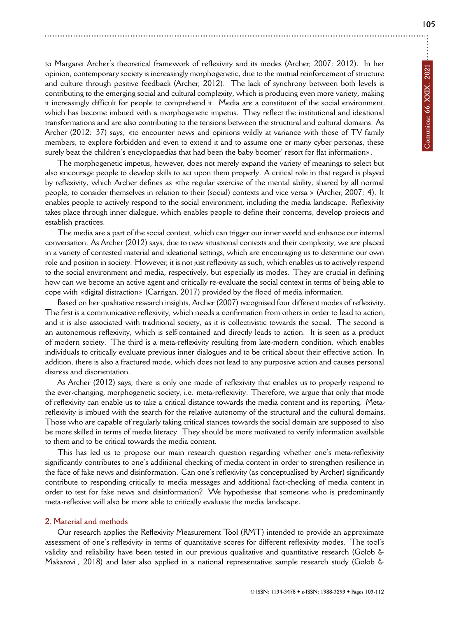to Margaret Archer's theoretical framework of reflexivity and its modes (Archer, 2007; 2012). In her opinion, contemporary society is increasingly morphogenetic, due to the mutual reinforcement of structure and culture through positive feedback (Archer, 2012). The lack of synchrony between both levels is contributing to the emerging social and cultural complexity, which is producing even more variety, making it increasingly difficult for people to comprehend it. Media are a constituent of the social environment, which has become imbued with a morphogenetic impetus. They reflect the institutional and ideational transformations and are also contributing to the tensions between the structural and cultural domains. As Archer (2012: 37) says, «to encounter news and opinions wildly at variance with those of TV family members, to explore forbidden and even to extend it and to assume one or many cyber personas, these surely beat the children's encyclopaedias that had been the baby boomer' resort for flat information».

The morphogenetic impetus, however, does not merely expand the variety of meanings to select but also encourage people to develop skills to act upon them properly. A critical role in that regard is played by reflexivity, which Archer defines as «the regular exercise of the mental ability, shared by all normal people, to consider themselves in relation to their (social) contexts and vice versa » (Archer, 2007: 4). It enables people to actively respond to the social environment, including the media landscape. Reflexivity takes place through inner dialogue, which enables people to define their concerns, develop projects and establish practices.

The media are a part of the social context, which can trigger our inner world and enhance our internal conversation. As Archer (2012) says, due to new situational contexts and their complexity, we are placed in a variety of contested material and ideational settings, which are encouraging us to determine our own role and position in society. However, it is not just reflexivity as such, which enables us to actively respond to the social environment and media, respectively, but especially its modes. They are crucial in defining how can we become an active agent and critically re-evaluate the social context in terms of being able to cope with «digital distraction» (Carrigan, 2017) provided by the flood of media information.

Based on her qualitative research insights, Archer (2007) recognised four different modes of reflexivity. The first is a communicative reflexivity, which needs a confirmation from others in order to lead to action, and it is also associated with traditional society, as it is collectivistic towards the social. The second is an autonomous reflexivity, which is self-contained and directly leads to action. It is seen as a product of modern society. The third is a meta-reflexivity resulting from late-modern condition, which enables individuals to critically evaluate previous inner dialogues and to be critical about their effective action. In addition, there is also a fractured mode, which does not lead to any purposive action and causes personal distress and disorientation.

As Archer (2012) says, there is only one mode of reflexivity that enables us to properly respond to the ever-changing, morphogenetic society, i.e. meta-reflexivity. Therefore, we argue that only that mode of reflexivity can enable us to take a critical distance towards the media content and its reporting. Metareflexivity is imbued with the search for the relative autonomy of the structural and the cultural domains. Those who are capable of regularly taking critical stances towards the social domain are supposed to also be more skilled in terms of media literacy. They should be more motivated to verify information available to them and to be critical towards the media content.

This has led us to propose our main research question regarding whether one's meta-reflexivity significantly contributes to one's additional checking of media content in order to strengthen resilience in the face of fake news and disinformation. Can one's reflexivity (as conceptualised by Archer) significantly contribute to responding critically to media messages and additional fact-checking of media content in order to test for fake news and disinformation? We hypothesise that someone who is predominantly meta-reflexive will also be more able to critically evaluate the media landscape.

#### **2. Material and methods**

Our research applies the Reflexivity Measurement Tool (RMT) intended to provide an approximate assessment of one's reflexivity in terms of quantitative scores for different reflexivity modes. The tool's validity and reliability have been tested in our previous qualitative and quantitative research (Golob & Makarovi, 2018) and later also applied in a national representative sample research study (Golob &

**105**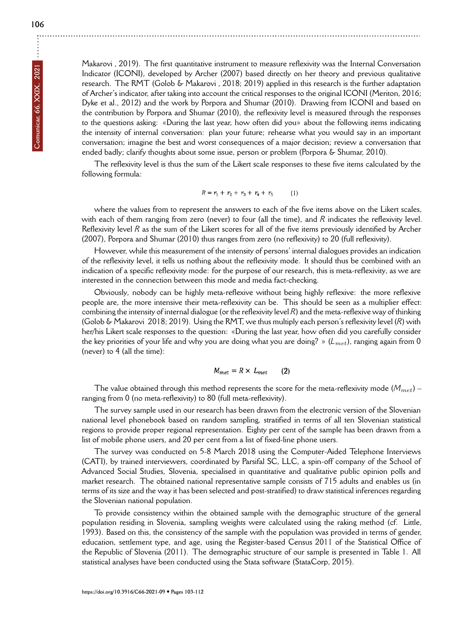**106**

Makarovi, 2019). The first quantitative instrument to measure reflexivity was the Internal Conversation Indicator (ICONI), developed by Archer (2007) based directly on her theory and previous qualitative research. The RMT (Golob & Makarovi, 2018; 2019) applied in this research is the further adaptation of Archer's indicator, after taking into account the critical responses to the original ICONI (Meriton, 2016; Dyke et al., 2012) and the work by Porpora and Shumar (2010). Drawing from ICONI and based on the contribution by Porpora and Shumar (2010), the reflexivity level is measured through the responses to the questions asking: «During the last year, how often did you» about the following items indicating the intensity of internal conversation: plan your future; rehearse what you would say in an important conversation; imagine the best and worst consequences of a major decision; review a conversation that ended badly; clarify thoughts about some issue, person or problem (Porpora & Shumar, 2010).

The reflexivity level is thus the sum of the Likert scale responses to these five items calculated by the following formula:

$$
R = r_1 + r_2 + r_3 + r_4 + r_5 \tag{1}
$$

where the values from to represent the answers to each of the five items above on the Likert scales, with each of them ranging from zero (never) to four (all the time), and *R* indicates the reflexivity level. Reflexivity level *R* as the sum of the Likert scores for all of the five items previously identified by Archer (2007), Porpora and Shumar (2010) thus ranges from zero (no reflexivity) to 20 (full reflexivity).

However, while this measurement of the intensity of persons' internal dialogues provides an indication of the reflexivity level, it tells us nothing about the reflexivity mode. It should thus be combined with an indication of a specific reflexivity mode: for the purpose of our research, this is meta-reflexivity, as we are interested in the connection between this mode and media fact-checking.

Obviously, nobody can be highly meta-reflexive without being highly reflexive: the more reflexive people are, the more intensive their meta-reflexivity can be. This should be seen as a multiplier effect: combining the intensity of internal dialogue (or the reflexivity level *R*) and the meta-reflexive way of thinking (Golob & Makarovi 2018; 2019). Using the RMT, we thus multiply each person's reflexivity level (*R*) with her/his Likert scale responses to the question: «During the last year, how often did you carefully consider the key priorities of your life and why you are doing what you are doing? » (*Lmet*), ranging again from 0 (never) to 4 (all the time):

$$
M_{met} = R \times L_{met} \qquad (2)
$$

The value obtained through this method represents the score for the meta-reflexivity mode (*Mmet*) – ranging from 0 (no meta-reflexivity) to 80 (full meta-reflexivity).

The survey sample used in our research has been drawn from the electronic version of the Slovenian national level phonebook based on random sampling, stratified in terms of all ten Slovenian statistical regions to provide proper regional representation. Eighty per cent of the sample has been drawn from a list of mobile phone users, and 20 per cent from a list of fixed-line phone users.

The survey was conducted on 5-8 March 2018 using the Computer-Aided Telephone Interviews (CATI), by trained interviewers, coordinated by Parsifal SC, LLC, a spin-off company of the School of Advanced Social Studies, Slovenia, specialised in quantitative and qualitative public opinion polls and market research. The obtained national representative sample consists of 715 adults and enables us (in terms of its size and the way it has been selected and post-stratified) to draw statistical inferences regarding the Slovenian national population.

To provide consistency within the obtained sample with the demographic structure of the general population residing in Slovenia, sampling weights were calculated using the raking method (cf. Little, 1993). Based on this, the consistency of the sample with the population was provided in terms of gender, education, settlement type, and age, using the Register-based Census 2011 of the Statistical Office of the Republic of Slovenia (2011). The demographic structure of our sample is presented in Table 1. All [statistical analyses have be](https://doi.org/10.3916/C66-2021-09)en conducted using the Stata software (StataCorp, 2015).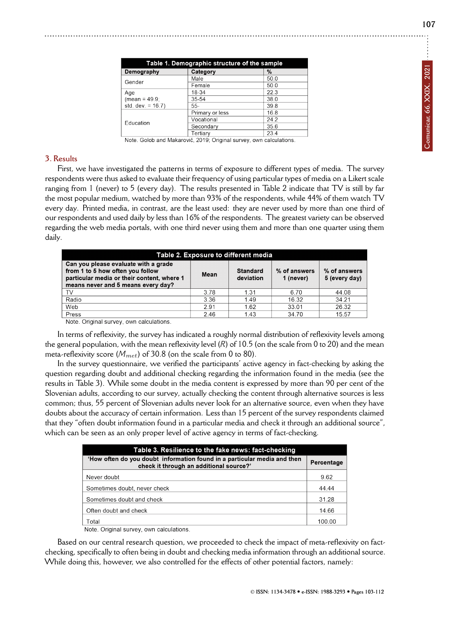**107**

| Table 1. Demographic structure of the sample |                 |      |  |  |
|----------------------------------------------|-----------------|------|--|--|
| Demography                                   | Category        | %    |  |  |
| Gender                                       | Male            | 50.0 |  |  |
|                                              | Female          | 50.0 |  |  |
| Age                                          | 18-34           | 22.3 |  |  |
| $(mean = 49.9)$                              | 35-54           | 38.0 |  |  |
| std. dev. = $16.7$ )                         | $55 -$          | 39.8 |  |  |
| Education                                    | Primary or less | 16.8 |  |  |
|                                              | Vocational      | 24.2 |  |  |
|                                              | Secondary       | 35.6 |  |  |
|                                              | Tertiarv        | 23.4 |  |  |

Note. Golob and Makarovič, 2019; Original survey, own calculations.

#### **3. Results**

First, we have investigated the patterns in terms of exposure to different types of media. The survey respondents were thus asked to evaluate their frequency of using particular types of media on a Likert scale ranging from 1 (never) to 5 (every day). The results presented in Table 2 indicate that TV is still by far the most popular medium, watched by more than 93% of the respondents, while 44% of them watch TV every day. Printed media, in contrast, are the least used: they are never used by more than one third of our respondents and used daily by less than 16% of the respondents. The greatest variety can be observed regarding the web media portals, with one third never using them and more than one quarter using them daily.

| Table 2. Exposure to different media                                                                                                                         |      |                              |                           |                               |  |
|--------------------------------------------------------------------------------------------------------------------------------------------------------------|------|------------------------------|---------------------------|-------------------------------|--|
| Can you please evaluate with a grade<br>from 1 to 5 how often you follow<br>particular media or their content, where 1<br>means never and 5 means every day? | Mean | <b>Standard</b><br>deviation | % of answers<br>1 (never) | % of answers<br>5 (every day) |  |
| TV                                                                                                                                                           | 3.78 | 1.31                         | 6.70                      | 44.08                         |  |
| Radio                                                                                                                                                        | 3.36 | 149                          | 16.32                     | 34.21                         |  |
| Web                                                                                                                                                          | 291  | 1.62                         | 33.01                     | 26.32                         |  |
| Press<br>.<br>.                                                                                                                                              | 2.46 | 1.43                         | 34.70                     | 15.57                         |  |

Note. Original survey, own calculations.

In terms of reflexivity, the survey has indicated a roughly normal distribution of reflexivity levels among the general population, with the mean reflexivity level (*R*) of 10.5 (on the scale from 0 to 20) and the mean meta-reflexivity score (*Mmet*) of 30.8 (on the scale from 0 to 80).

In the survey questionnaire, we verified the participants' active agency in fact-checking by asking the question regarding doubt and additional checking regarding the information found in the media (see the results in Table 3). While some doubt in the media content is expressed by more than 90 per cent of the Slovenian adults, according to our survey, actually checking the content through alternative sources is less common; thus, 55 percent of Slovenian adults never look for an alternative source, even when they have doubts about the accuracy of certain information. Less than 15 percent of the survey respondents claimed that they "often doubt information found in a particular media and check it through an additional source", which can be seen as an only proper level of active agency in terms of fact-checking.

| Table 3. Resilience to the fake news: fact-checking                                                                 |            |  |  |  |
|---------------------------------------------------------------------------------------------------------------------|------------|--|--|--|
| 'How often do you doubt information found in a particular media and then<br>check it through an additional source?' | Percentage |  |  |  |
| Never doubt                                                                                                         | 9.62       |  |  |  |
| Sometimes doubt, never check                                                                                        | 44.44      |  |  |  |
| Sometimes doubt and check                                                                                           | 31.28      |  |  |  |
| Often doubt and check                                                                                               | 14.66      |  |  |  |
| Total                                                                                                               | 100 00     |  |  |  |

Note. Original survey, own calculations

Based on our central research question, we proceeded to check the impact of meta-reflexivity on factchecking, specifically to often being in doubt and checking media information through an additional source. While doing this, however, we also controlled for the effects of other potential factors, namely: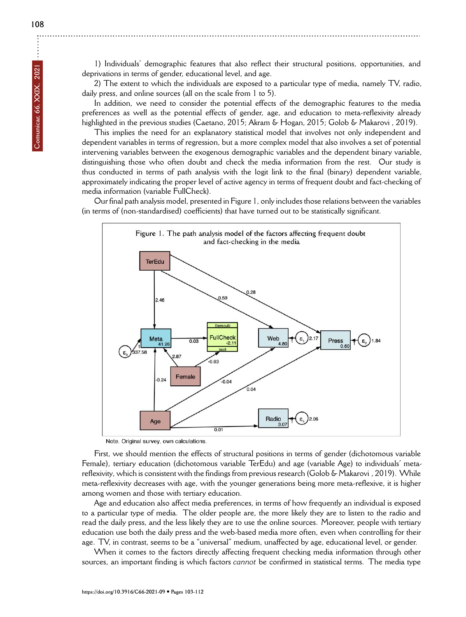1) Individuals' demographic features that also reflect their structural positions, opportunities, and deprivations in terms of gender, educational level, and age.

2) The extent to which the individuals are exposed to a particular type of media, namely TV, radio, daily press, and online sources (all on the scale from 1 to 5).

In addition, we need to consider the potential effects of the demographic features to the media preferences as well as the potential effects of gender, age, and education to meta-reflexivity already highlighted in the previous studies (Caetano, 2015; Akram & Hogan, 2015; Golob & Makarovi, 2019).

This implies the need for an explanatory statistical model that involves not only independent and dependent variables in terms of regression, but a more complex model that also involves a set of potential intervening variables between the exogenous demographic variables and the dependent binary variable, distinguishing those who often doubt and check the media information from the rest. Our study is thus conducted in terms of path analysis with the logit link to the final (binary) dependent variable, approximately indicating the proper level of active agency in terms of frequent doubt and fact-checking of media information (variable FullCheck).

Our final path analysis model, presented in Figure 1, only includes those relations between the variables (in terms of (non-standardised) coefficients) that have turned out to be statistically significant.



Note. Original survey, own calculations

First, we should mention the effects of structural positions in terms of gender (dichotomous variable Female), tertiary education (dichotomous variable TerEdu) and age (variable Age) to individuals' metareflexivity, which is consistent with the findings from previous research (Golob & Makarovi, 2019). While meta-reflexivity decreases with age, with the younger generations being more meta-reflexive, it is higher among women and those with tertiary education.

Age and education also affect media preferences, in terms of how frequently an individual is exposed to a particular type of media. The older people are, the more likely they are to listen to the radio and read the daily press, and the less likely they are to use the online sources. Moreover, people with tertiary education use both the daily press and the web-based media more often, even when controlling for their age. TV, in contrast, seems to be a "universal" medium, unaffected by age, educational level, or gender.

When it comes to the factors directly affecting frequent checking media information through other [sources, an important find](https://doi.org/10.3916/C66-2021-09)ing is which factors *cannot* be confirmed in statistical terms. The media type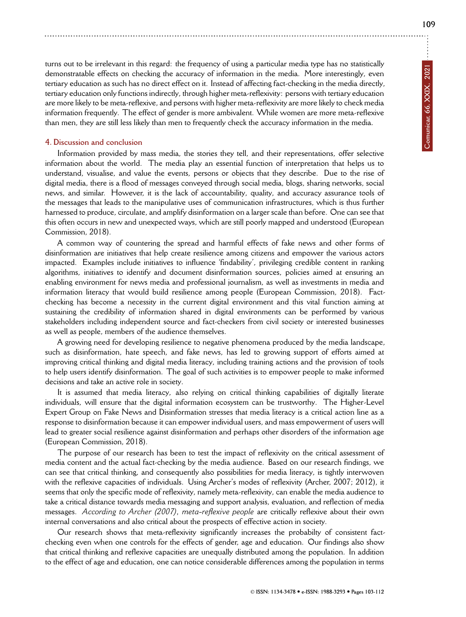turns out to be irrelevant in this regard: the frequency of using a particular media type has no statistically demonstratable effects on checking the accuracy of information in the media. More interestingly, even tertiary education as such has no direct effect on it. Instead of affecting fact-checking in the media directly, tertiary education only functions indirectly, through higher meta-reflexivity: persons with tertiary education are more likely to be meta-reflexive, and persons with higher meta-reflexivity are more likely to check media information frequently. The effect of gender is more ambivalent. While women are more meta-reflexive than men, they are still less likely than men to frequently check the accuracy information in the media.

### **4. Discussion and conclusion**

Information provided by mass media, the stories they tell, and their representations, offer selective information about the world. The media play an essential function of interpretation that helps us to understand, visualise, and value the events, persons or objects that they describe. Due to the rise of digital media, there is a flood of messages conveyed through social media, blogs, sharing networks, social news, and similar. However, it is the lack of accountability, quality, and accuracy assurance tools of the messages that leads to the manipulative uses of communication infrastructures, which is thus further harnessed to produce, circulate, and amplify disinformation on a larger scale than before. One can see that this often occurs in new and unexpected ways, which are still poorly mapped and understood (European Commission, 2018).

A common way of countering the spread and harmful effects of fake news and other forms of disinformation are initiatives that help create resilience among citizens and empower the various actors impacted. Examples include initiatives to influence 'findability', privileging credible content in ranking algorithms, initiatives to identify and document disinformation sources, policies aimed at ensuring an enabling environment for news media and professional journalism, as well as investments in media and information literacy that would build resilience among people (European Commission, 2018). Factchecking has become a necessity in the current digital environment and this vital function aiming at sustaining the credibility of information shared in digital environments can be performed by various stakeholders including independent source and fact-checkers from civil society or interested businesses as well as people, members of the audience themselves.

A growing need for developing resilience to negative phenomena produced by the media landscape, such as disinformation, hate speech, and fake news, has led to growing support of efforts aimed at improving critical thinking and digital media literacy, including training actions and the provision of tools to help users identify disinformation. The goal of such activities is to empower people to make informed decisions and take an active role in society.

It is assumed that media literacy, also relying on critical thinking capabilities of digitally literate individuals, will ensure that the digital information ecosystem can be trustworthy. The Higher-Level Expert Group on Fake News and Disinformation stresses that media literacy is a critical action line as a response to disinformation because it can empower individual users, and mass empowerment of users will lead to greater social resilience against disinformation and perhaps other disorders of the information age (European Commission, 2018).

The purpose of our research has been to test the impact of reflexivity on the critical assessment of media content and the actual fact-checking by the media audience. Based on our research findings, we can see that critical thinking, and consequently also possibilities for media literacy, is tightly interwoven with the reflexive capacities of individuals. Using Archer's modes of reflexivity (Archer, 2007; 2012), it seems that only the specific mode of reflexivity, namely meta-reflexivity, can enable the media audience to take a critical distance towards media messaging and support analysis, evaluation, and reflection of media messages. *According to Archer (2007), meta-reflexive people* are critically reflexive about their own internal conversations and also critical about the prospects of effective action in society.

Our research shows that meta-reflexivity significantly increases the probabilty of consistent factchecking even when one controls for the effects of gender, age and education. Our findings also show that critical thinking and reflexive capacities are unequally distributed among the population. In addition to the effect of age and education, one can notice considerable differences among the population in terms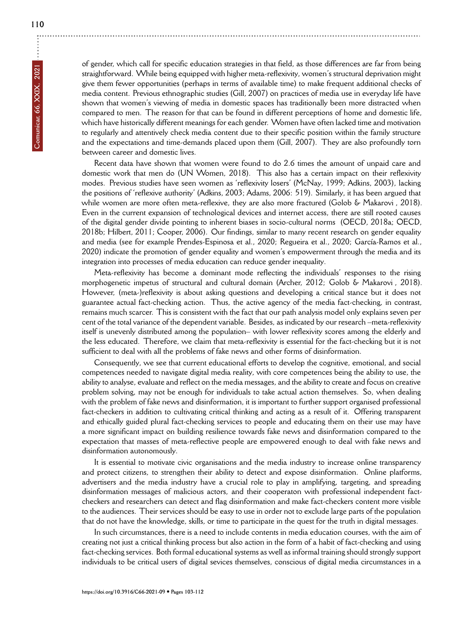of gender, which call for specific education strategies in that field, as those differences are far from being straightforward. While being equipped with higher meta-reflexivity, women's structural deprivation might give them fewer opportunities (perhaps in terms of available time) to make frequent additional checks of media content. Previous ethnographic studies (Gill, 2007) on practices of media use in everyday life have shown that women's viewing of media in domestic spaces has traditionally been more distracted when compared to men. The reason for that can be found in different perceptions of home and domestic life, which have historically different meanings for each gender. Women have often lacked time and motivation to regularly and attentively check media content due to their specific position within the family structure and the expectations and time-demands placed upon them (Gill, 2007). They are also profoundly torn between career and domestic lives.

Recent data have shown that women were found to do 2.6 times the amount of unpaid care and domestic work that men do (UN Women, 2018). This also has a certain impact on their reflexivity modes. Previous studies have seen women as 'reflexivity losers' (McNay, 1999; Adkins, 2003), lacking the positions of 'reflexive authority' (Adkins, 2003; Adams, 2006: 519). Similarly, it has been argued that while women are more often meta-reflexive, they are also more fractured (Golob & Makarovi, 2018). Even in the current expansion of technological devices and internet access, there are still rooted causes of the digital gender divide pointing to inherent biases in socio-cultural norms (OECD, 2018a; OECD, 2018b; Hilbert, 2011; Cooper, 2006). Our findings, similar to many recent research on gender equality and media (see for example Prendes-Espinosa et al., 2020; Regueira et al., 2020; García-Ramos et al., 2020) indicate the promotion of gender equality and women's empowerment through the media and its integration into processes of media education can reduce gender inequality.

Meta-reflexivity has become a dominant mode reflecting the individuals' responses to the rising morphogenetic impetus of structural and cultural domain (Archer, 2012; Golob & Makarovi, 2018). However, (meta-)reflexivity is about asking questions and developing a critical stance but it does not guarantee actual fact-checking action. Thus, the active agency of the media fact-checking, in contrast, remains much scarcer. This is consistent with the fact that our path analysis model only explains seven per cent of the total variance of the dependent variable. Besides, as indicated by our research –meta-reflexivity itself is unevenly distributed among the population– with lower reflexivity scores among the elderly and the less educated. Therefore, we claim that meta-reflexivity is essential for the fact-checking but it is not sufficient to deal with all the problems of fake news and other forms of disinformation.

Consequently, we see that current educational efforts to develop the cognitive, emotional, and social competences needed to navigate digital media reality, with core competences being the ability to use, the ability to analyse, evaluate and reflect on the media messages, and the ability to create and focus on creative problem solving, may not be enough for individuals to take actual action themselves. So, when dealing with the problem of fake news and disinformation, it is important to further support organised professional fact-checkers in addition to cultivating critical thinking and acting as a result of it. Offering transparent and ethically guided plural fact-checking services to people and educating them on their use may have a more significant impact on building resilience towards fake news and disinformation compared to the expectation that masses of meta-reflective people are empowered enough to deal with fake news and disinformation autonomously.

It is essential to motivate civic organisations and the media industry to increase online transparency and protect citizens, to strengthen their ability to detect and expose disinformation. Online platforms, advertisers and the media industry have a crucial role to play in amplifying, targeting, and spreading disinformation messages of malicious actors, and their cooperaton with professional independent factcheckers and researchers can detect and flag disinformation and make fact-checkers content more visible to the audiences. Their services should be easy to use in order not to exclude large parts of the population that do not have the knowledge, skills, or time to participate in the quest for the truth in digital messages.

In such circumstances, there is a need to include contents in media education courses, with the aim of creating not just a critical thinking process but also action in the form of a habit of fact-checking and using fact-checking services. Both formal educational systems as well as informal training should strongly support [individuals to be critical u](https://doi.org/10.3916/C66-2021-09)sers of digital sevices themselves, conscious of digital media circumstances in a

**110**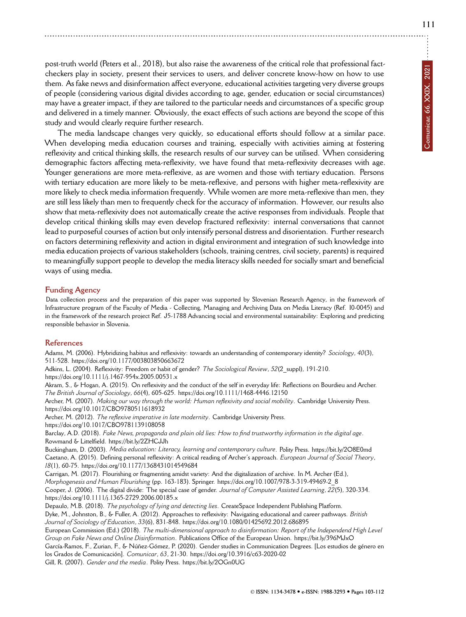post-truth world (Peters et al., 2018), but also raise the awareness of the critical role that professional factcheckers play in society, present their services to users, and deliver concrete know-how on how to use them. As fake news and disinformation affect everyone, educational activities targeting very diverse groups of people (considering various digital divides according to age, gender, education or social circumstances) may have a greater impact, if they are tailored to the particular needs and circumstances of a specific group and delivered in a timely manner. Obviously, the exact effects of such actions are beyond the scope of this study and would clearly require further research.

The media landscape changes very quickly, so educational efforts should follow at a similar pace. When developing media education courses and training, especially with activities aiming at fostering reflexivity and critical thinking skills, the research results of our survey can be utilised. When considering demographic factors affecting meta-reflexivity, we have found that meta-reflexivity decreases with age. Younger generations are more meta-reflexive, as are women and those with tertiary education. Persons with tertiary education are more likely to be meta-reflexive, and persons with higher meta-reflexivity are more likely to check media information frequently. While women are more meta-reflexive than men, they are still less likely than men to frequently check for the accuracy of information. However, our results also show that meta-reflexivity does not automatically create the active responses from individuals. People that develop critical thinking skills may even develop fractured reflexivity: internal conversations that cannot lead to purposeful courses of action but only intensify personal distress and disorientation. Further research on factors determining reflexivity and action in digital environment and integration of such knowledge into media education projects of various stakeholders (schools, training centres, civil society, parents) is required to meaningfully support people to develop the media literacy skills needed for socially smart and beneficial ways of using media.

#### **Funding Agency**

Data collection process and the preparation of this paper was supported by Slovenian Research Agency, in the framework of Infrastructure program of the Faculty of Media - Collecting, Managing and Archiving Data on Media Literacy (Ref. I0-0045) and in the framework of the research project Ref. J5-1788 Advancing social and environmental sustainability: Exploring and predicting responsibl[e behavior in Slovenia.](https://doi.org/10.1177/003803850663672)

#### **[References](https://doi.org/10.1111/j.1467-954x.2005.00531.x)**

Adams, M. (2006). Hybridizing habitus and reflexi[vity: towards an understanding of contemp](https://doi.org/10.1111/1468-4446.12150)orary identity? *Sociology*, *40*(3), 511-528. https://doi.org/10.1177/003803850663672 Adkins, L. (2004). Reflexivity: Freedom or habit of gender? *The Sociological Review*, *52*(2\_suppl), 191-210. [https://doi.org/10.1111/j.1467-954x.2005.005](https://doi.org/10.1017/CBO9780511618932)31.x Akram, S., & Hogan, A. (2015). On reflexivity and the conduct of the self in everyday life: Reflections on Bourdieu and Archer. *[The British Journal of Sociology](https://doi.org/10.1017/CBO9781139108058)*, *66*(4), 605-625. https://doi.org/10.1111/1468-4446.12150 Archer, M. (2007). *Making our way through the world: Human reflexivity and social mobility*. Cambridge University Press. https://doi.org/10.1017/[CBO9780511618932](https://bit.ly/2ZHCJJh) Archer, M. (2012). *The reflexive imperative in late modernity*. Cambridge University Press. https://doi.org/10.1017/CBO9781139108058 Barclay, A.D. (2018). *[Fake News, propaganda and plain o](https://doi.org/10.1177/1368431014549684)ld lies: How to find trustworthy information in the digital age*. Rowmand & Littelfield. https://bit.ly/2ZHCJJh Buckingham, D. (2003). *Media education: Literacy, learning and [contemporary culture](https://doi.org/10.1007/978-3-319-49469-2_8)*. Polity Press. https://bit.ly/2O8E0md Caetano, A. (2015). Defining personal reflexivity: A critical reading of Archer's approach. *European Journal of Social Theory*, *18*(1), 60-75. [https://doi.org/10.1177/13684310145](https://doi.org/10.1111/j.1365-2729.2006.00185.x)49684 Carrigan, M. (2017). Flourishing or fragmenting amidst variety: And the digitalization of archive. In M. Archer (Ed.), *Morphogenesis and Human Flourishing* (pp. 163-183). Springer. https://doi.org/10.1007/978-3-319-49469-2\_8 Cooper, J. (2006). The digital divide: The special case of gender. *[Journal of Computer Assisted Lea](https://doi.org/10.1080/01425692.2012.686895)rning*, *22*(5), 320-334. https://doi.org/10.1111/j.1365-2729.2006.00185.x Depaulo, M.B. (2018). *The psychology of lying and detecting lies*. CreateSpace Independent [Publishing Platform.](https://bit.ly/396MJxO) Dyke, M., Johnston, B., & Fuller, A. (2012). Approaches to reflexivity: Navigating educational and career pathways. *British Journal of Sociology of Education*, *33*(6), 831-848. htt[ps://doi.org/10.1080/01425692.2012](https://doi.org/10.3916/c63-2020-02).686895 European Commission (Ed.) (2018). *The multi-dim[ensional approach to dis](https://bit.ly/2OGn0UG)information: Report of the Independend High Level Group on Fake News and Online Disinformation*. Publications Office of the European Union. https://bit.ly/396MJxO García-Ramos, F., Zurian, F., & Núñez-Gómez, P. (2020). Gender studies in Communication Degrees. [Los estudios de género en los Grados de Comunicación]. *Comunicar*, *63*, 21-30. https://doi.org/10.3916/c63-2020-02 Gill, R. (2007). *Gender and the media*. Polity Press. https://bit.ly/2OGn0UG